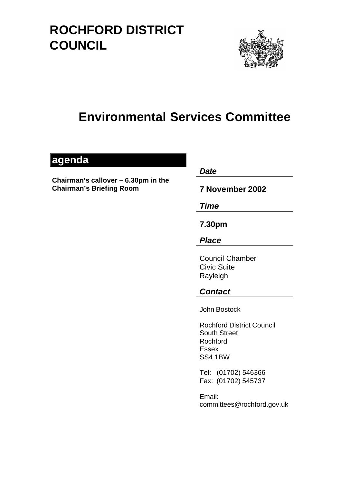# **ROCHFORD DISTRICT COUNCIL**



## **Environmental Services Committee**

### **agenda**

**Chairman's callover – 6.30pm in the Chairman's Briefing Room** 

*Date* 

**7 November 2002** 

*Time* 

**7.30pm** 

*Place* 

Council Chamber Civic Suite Rayleigh

### *Contact*

John Bostock

Rochford District Council South Street Rochford Essex SS4 1BW

Tel: (01702) 546366 Fax: (01702) 545737

Email: committees@rochford.gov.uk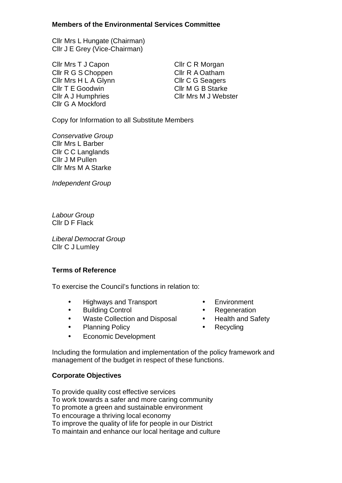#### **Members of the Environmental Services Committee**

Cllr Mrs L Hungate (Chairman) Cllr J E Grey (Vice-Chairman)

Cllr Mrs T J Capon Cllr R G S Choppen Cllr Mrs H L A Glynn Cllr T E Goodwin Cllr A J Humphries Cllr G A Mockford

Cllr C R Morgan Cllr R A Oatham Cllr C G Seagers Cllr M G B Starke Cllr Mrs M J Webster

Copy for Information to all Substitute Members

*Conservative Group*  Cllr Mrs L Barber Cllr C C Langlands Cllr J M Pullen Cllr Mrs M A Starke

*Independent Group* 

*Labour Group*  Cllr D F Flack

*Liberal Democrat Group*  Cllr C J Lumley

#### **Terms of Reference**

To exercise the Council's functions in relation to:

- Highways and Transport Environment
- Building Control Regeneration
- Waste Collection and Disposal Health and Safety
- Planning Policy  **Recycling**
- Economic Development
- 
- 
- 
- 

Including the formulation and implementation of the policy framework and management of the budget in respect of these functions.

#### **Corporate Objectives**

To provide quality cost effective services

To work towards a safer and more caring community

To promote a green and sustainable environment

To encourage a thriving local economy

To improve the quality of life for people in our District

To maintain and enhance our local heritage and culture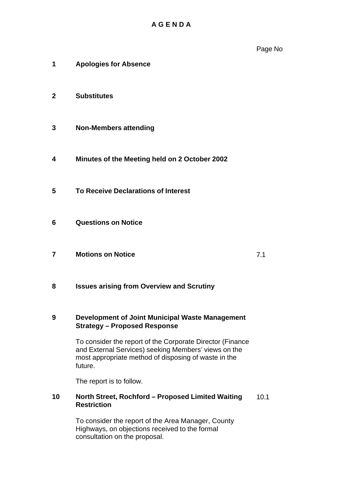Page No

- **1 Apologies for Absence**
- **2 Substitutes**
- **3 Non-Members attending**
- **4 Minutes of the Meeting held on 2 October 2002**
- **5 To Receive Declarations of Interest**
- **6 Questions on Notice**
- **7 Motions on Notice** 7.1

**8 Issues arising from Overview and Scrutiny** 

#### **9 Development of Joint Municipal Waste Management Strategy – Proposed Response**

To consider the report of the Corporate Director (Finance and External Services) seeking Members' views on the most appropriate method of disposing of waste in the future.

The report is to follow.

#### **10 North Street, Rochford – Proposed Limited Waiting** 10.1 **Restriction**

To consider the report of the Area Manager, County Highways, on objections received to the formal consultation on the proposal.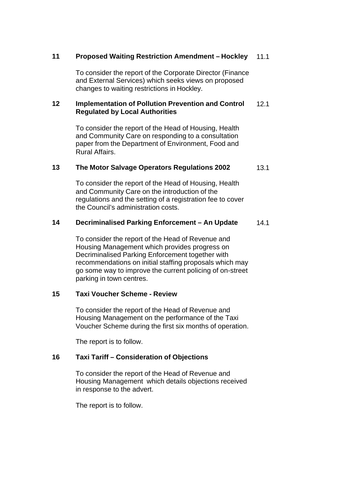#### **11 Proposed Waiting Restriction Amendment – Hockley** 11.1

To consider the report of the Corporate Director (Finance and External Services) which seeks views on proposed changes to waiting restrictions in Hockley.

#### **12 Implementation of Pollution Prevention and Control** 12.1 **Regulated by Local Authorities**

To consider the report of the Head of Housing, Health and Community Care on responding to a consultation paper from the Department of Environment, Food and Rural Affairs.

#### **13 The Motor Salvage Operators Regulations 2002** 13.1

To consider the report of the Head of Housing, Health and Community Care on the introduction of the regulations and the setting of a registration fee to cover the Council's administration costs.

#### **14 Decriminalised Parking Enforcement – An Update** 14.1

To consider the report of the Head of Revenue and Housing Management which provides progress on Decriminalised Parking Enforcement together with recommendations on initial staffing proposals which may go some way to improve the current policing of on-street parking in town centres.

#### **15 Taxi Voucher Scheme - Review**

To consider the report of the Head of Revenue and Housing Management on the performance of the Taxi Voucher Scheme during the first six months of operation.

The report is to follow.

#### **16 Taxi Tariff – Consideration of Objections**

To consider the report of the Head of Revenue and Housing Management which details objections received in response to the advert.

The report is to follow.